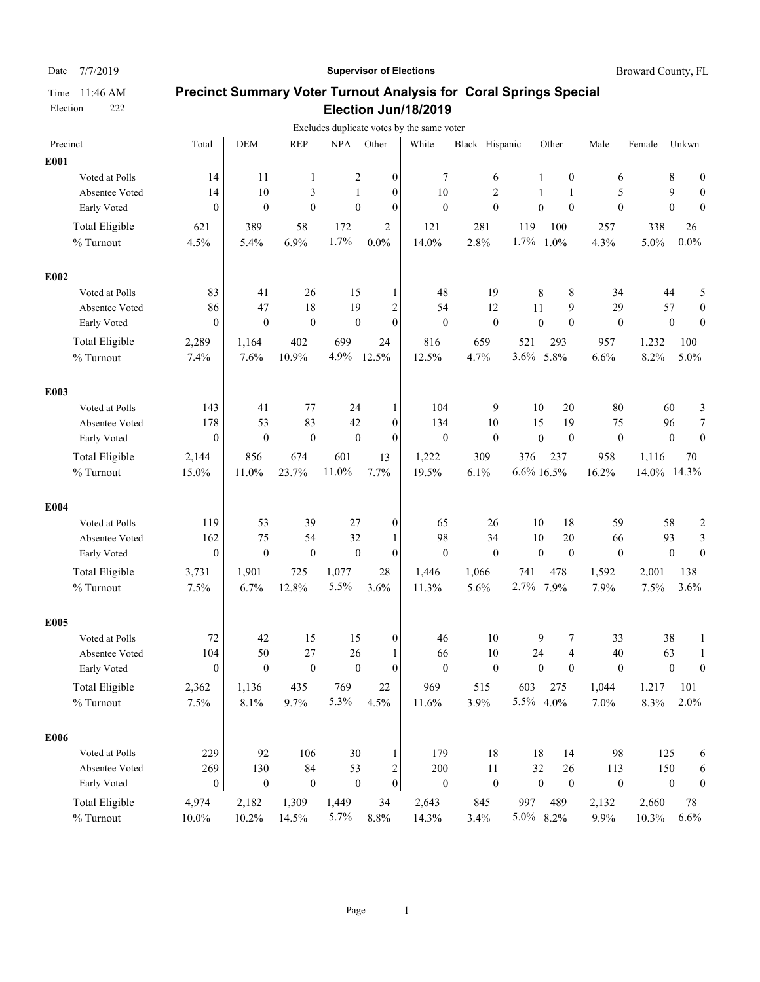### Date 7/7/2019 **Supervisor of Elections Supervisor of Elections** Broward County, FL

|                       |                  |                  |                  |                  |                  | Excludes duplicate votes by the same voter |                  |                  |                  |                  |             |                  |                         |
|-----------------------|------------------|------------------|------------------|------------------|------------------|--------------------------------------------|------------------|------------------|------------------|------------------|-------------|------------------|-------------------------|
| Precinct              | Total            | <b>DEM</b>       | <b>REP</b>       | <b>NPA</b>       | Other            | White                                      | Black Hispanic   |                  | Other            | Male             | Female      | Unkwn            |                         |
| E001                  |                  |                  |                  |                  |                  |                                            |                  |                  |                  |                  |             |                  |                         |
| Voted at Polls        | 14               | 11               | 1                | 2                | $\boldsymbol{0}$ | 7                                          | 6                | 1                | $\boldsymbol{0}$ | 6                |             | 8                | 0                       |
| Absentee Voted        | 14               | 10               | 3                | 1                | $\boldsymbol{0}$ | 10                                         | 2                | 1                | 1                | 5                |             | 9                | 0                       |
| Early Voted           | $\Omega$         | $\mathbf{0}$     | $\mathbf{0}$     | $\mathbf{0}$     | $\overline{0}$   | $\mathbf{0}$                               | $\mathbf{0}$     | $\overline{0}$   | $\theta$         | $\mathbf{0}$     |             | $\mathbf{0}$     | $\theta$                |
| <b>Total Eligible</b> | 621              | 389              | 58               | 172              | $\overline{2}$   | 121                                        | 281              | 119              | 100              | 257              | 338         |                  | 26                      |
| % Turnout             | 4.5%             | 5.4%             | 6.9%             | 1.7%             | $0.0\%$          | 14.0%                                      | 2.8%             | 1.7%             | 1.0%             | 4.3%             | 5.0%        | $0.0\%$          |                         |
| E002                  |                  |                  |                  |                  |                  |                                            |                  |                  |                  |                  |             |                  |                         |
| Voted at Polls        | 83               | 41               | 26               | 15               | 1                | 48                                         | 19               | 8                | 8                | 34               |             | 44               | 5                       |
| Absentee Voted        | 86               | 47               | 18               | 19               | $\overline{2}$   | 54                                         | 12               | 11               | 9                | 29               |             | 57               | $\boldsymbol{0}$        |
| Early Voted           | $\mathbf{0}$     | $\mathbf{0}$     | $\boldsymbol{0}$ | $\boldsymbol{0}$ | $\overline{0}$   | $\mathbf{0}$                               | $\mathbf{0}$     | $\theta$         | $\mathbf{0}$     | $\mathbf{0}$     |             | $\mathbf{0}$     | $\mathbf{0}$            |
| Total Eligible        | 2,289            | 1,164            | 402              | 699              | 24               | 816                                        | 659              | 521              | 293              | 957              | 1,232       | 100              |                         |
| % Turnout             | 7.4%             | 7.6%             | 10.9%            | 4.9%             | 12.5%            | 12.5%                                      | 4.7%             | 3.6% 5.8%        |                  | 6.6%             | 8.2%        | 5.0%             |                         |
| E003                  |                  |                  |                  |                  |                  |                                            |                  |                  |                  |                  |             |                  |                         |
| Voted at Polls        | 143              | 41               | 77               | 24               | 1                | 104                                        | 9                | 10               | 20               | 80               |             | 60               | 3                       |
| Absentee Voted        | 178              | 53               | 83               | 42               | $\mathbf{0}$     | 134                                        | 10               | 15               | 19               | 75               |             | 96               | $\boldsymbol{7}$        |
| Early Voted           | $\mathbf{0}$     | $\boldsymbol{0}$ | $\boldsymbol{0}$ | $\boldsymbol{0}$ | $\mathbf{0}$     | $\boldsymbol{0}$                           | $\boldsymbol{0}$ | $\boldsymbol{0}$ | $\mathbf{0}$     | $\overline{0}$   |             | $\mathbf{0}$     | $\overline{0}$          |
| <b>Total Eligible</b> | 2,144            | 856              | 674              | 601              | 13               | 1,222                                      | 309              | 376              | 237              | 958              | 1.116       |                  | 70                      |
| % Turnout             | 15.0%            | 11.0%            | 23.7%            | 11.0%            | 7.7%             | 19.5%                                      | 6.1%             | 6.6% 16.5%       |                  | 16.2%            | 14.0% 14.3% |                  |                         |
| E004                  |                  |                  |                  |                  |                  |                                            |                  |                  |                  |                  |             |                  |                         |
| Voted at Polls        | 119              | 53               | 39               | 27               | 0                | 65                                         | 26               | 10               | 18               | 59               |             | 58               | $\overline{\mathbf{c}}$ |
| Absentee Voted        | 162              | 75               | 54               | 32               | 1                | 98                                         | 34               | 10               | 20               | 66               |             | 93               | 3                       |
| Early Voted           | $\overline{0}$   | $\mathbf{0}$     | $\boldsymbol{0}$ | $\mathbf{0}$     | $\overline{0}$   | $\mathbf{0}$                               | $\mathbf{0}$     | $\theta$         | $\mathbf{0}$     | $\mathbf{0}$     |             | $\boldsymbol{0}$ | $\mathbf{0}$            |
| Total Eligible        | 3,731            | 1,901            | 725              | 1,077            | 28               | 1,446                                      | 1,066            | 741              | 478              | 1,592            | 2.001       | 138              |                         |
| % Turnout             | 7.5%             | 6.7%             | 12.8%            | 5.5%             | 3.6%             | 11.3%                                      | 5.6%             | 2.7%             | 7.9%             | 7.9%             | 7.5%        | 3.6%             |                         |
| E005                  |                  |                  |                  |                  |                  |                                            |                  |                  |                  |                  |             |                  |                         |
| Voted at Polls        | 72               | 42               | 15               | 15               | $\boldsymbol{0}$ | 46                                         | 10               | 9                | 7                | 33               |             | 38               | 1                       |
| Absentee Voted        | 104              | 50               | 27               | 26               | 1                | 66                                         | 10               | 24               | 4                | 40               |             | 63               | 1                       |
| Early Voted           | $\mathbf{0}$     | $\mathbf{0}$     | $\boldsymbol{0}$ | $\mathbf{0}$     | $\theta$         | $\mathbf{0}$                               | $\mathbf{0}$     | $\mathbf{0}$     | $\theta$         | $\mathbf{0}$     |             | $\mathbf{0}$     | $\mathbf{0}$            |
| <b>Total Eligible</b> | 2,362            | 1,136            | 435              | 769              | $22\,$           | 969                                        | 515              | 603              | 275              | 1,044            | 1.217       | 101              |                         |
| % Turnout             | 7.5%             | $8.1\%$          | 9.7%             | 5.3%             | 4.5%             | 11.6%                                      | 3.9%             | 5.5% 4.0%        |                  | 7.0%             | 8.3%        |                  | 2.0%                    |
| E006                  |                  |                  |                  |                  |                  |                                            |                  |                  |                  |                  |             |                  |                         |
| Voted at Polls        | 229              | 92               | 106              | 30               | 1                | 179                                        | 18               | 18               | 14               | 98               | 125         |                  | 6                       |
| Absentee Voted        | 269              | 130              | $\bf 84$         | 53               | 2                | 200                                        | 11               | 32               | 26               | 113              | 150         |                  | 6                       |
| Early Voted           | $\boldsymbol{0}$ | $\boldsymbol{0}$ | $\boldsymbol{0}$ | $\boldsymbol{0}$ | $\boldsymbol{0}$ | $\boldsymbol{0}$                           | $\boldsymbol{0}$ | $\boldsymbol{0}$ | $\vert 0 \vert$  | $\boldsymbol{0}$ |             | $\boldsymbol{0}$ | $\boldsymbol{0}$        |
| <b>Total Eligible</b> | 4,974            | 2,182            | 1,309            | 1,449            | 34               | 2,643                                      | 845              | 997              | 489              | 2,132            | 2.660       |                  | 78                      |
| $\%$ Turnout          | 10.0%            | 10.2%            | 14.5%            | 5.7%             | 8.8%             | 14.3%                                      | 3.4%             | 5.0% 8.2%        |                  | 9.9%             | 10.3%       |                  | 6.6%                    |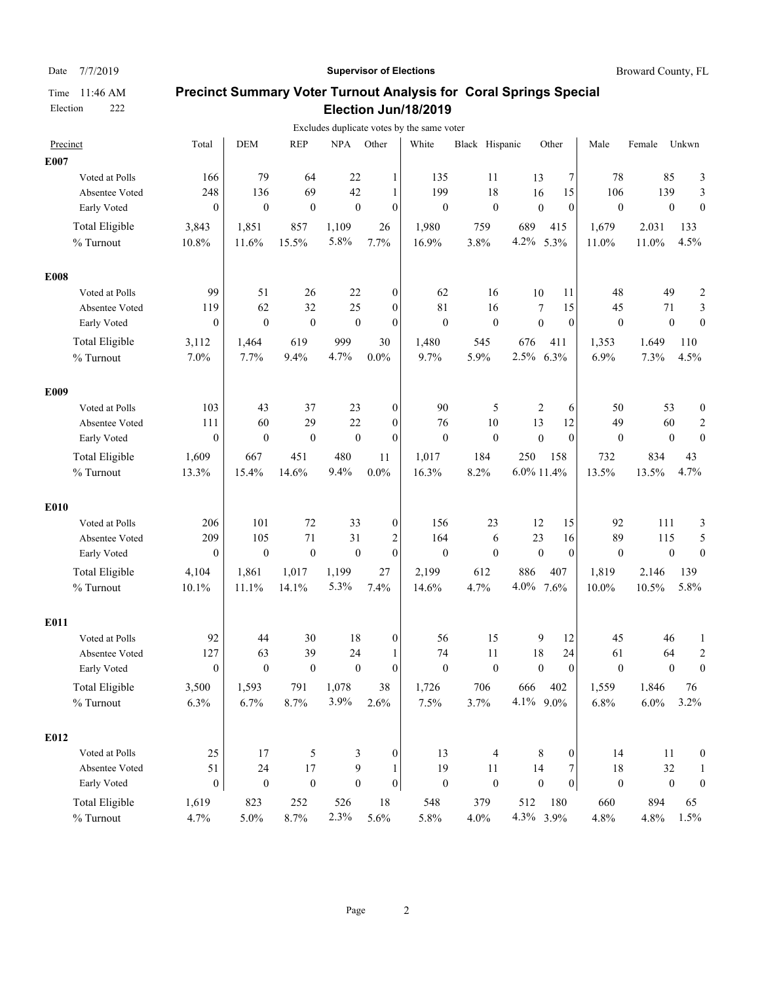### Date 7/7/2019 **Supervisor of Elections Supervisor of Elections** Broward County, FL

|                       |                |                  |                  |                  |                  |                  | Excludes duplicate votes by the same voter |                  |                  |                  |                  |         |                  |                         |
|-----------------------|----------------|------------------|------------------|------------------|------------------|------------------|--------------------------------------------|------------------|------------------|------------------|------------------|---------|------------------|-------------------------|
| Precinct              |                | Total            | <b>DEM</b>       | <b>REP</b>       | <b>NPA</b>       | Other            | White                                      | Black Hispanic   |                  | Other            | Male             | Female  | Unkwn            |                         |
| E007                  |                |                  |                  |                  |                  |                  |                                            |                  |                  |                  |                  |         |                  |                         |
|                       | Voted at Polls | 166              | 79               | 64               | 22               | 1                | 135                                        | 11               | 13               | 7                | 78               | 85      |                  | 3                       |
|                       | Absentee Voted | 248              | 136              | 69               | 42               | $\mathbf{1}$     | 199                                        | 18               | 16               | 15               | 106              | 139     |                  | 3                       |
| Early Voted           |                | $\mathbf{0}$     | $\theta$         | $\theta$         | $\mathbf{0}$     | $\boldsymbol{0}$ | $\boldsymbol{0}$                           | $\mathbf{0}$     | $\mathbf{0}$     | $\theta$         | $\mathbf{0}$     |         | $\boldsymbol{0}$ | $\mathbf{0}$            |
| <b>Total Eligible</b> |                | 3,843            | 1,851            | 857              | 1,109            | 26               | 1,980                                      | 759              | 689              | 415              | 1,679            | 2.031   | 133              |                         |
| % Turnout             |                | 10.8%            | 11.6%            | 15.5%            | 5.8%             | 7.7%             | 16.9%                                      | 3.8%             | 4.2%             | 5.3%             | 11.0%            | 11.0%   | 4.5%             |                         |
| <b>E008</b>           |                |                  |                  |                  |                  |                  |                                            |                  |                  |                  |                  |         |                  |                         |
|                       | Voted at Polls | 99               | 51               | 26               | 22               | $\boldsymbol{0}$ | 62                                         | 16               | 10               | 11               | 48               | 49      |                  | $\overline{\mathbf{c}}$ |
|                       | Absentee Voted | 119              | 62               | 32               | 25               | $\boldsymbol{0}$ | 81                                         | 16               | 7                | 15               | 45               | 71      |                  | 3                       |
| Early Voted           |                | $\boldsymbol{0}$ | $\mathbf{0}$     | $\boldsymbol{0}$ | $\boldsymbol{0}$ | $\boldsymbol{0}$ | $\mathbf{0}$                               | $\boldsymbol{0}$ | $\boldsymbol{0}$ | $\mathbf{0}$     | $\mathbf{0}$     |         | $\boldsymbol{0}$ | $\boldsymbol{0}$        |
| <b>Total Eligible</b> |                | 3,112            | 1,464            | 619              | 999              | 30               | 1,480                                      | 545              | 676              | 411              | 1,353            | 1,649   | 110              |                         |
| % Turnout             |                | 7.0%             | 7.7%             | 9.4%             | 4.7%             | $0.0\%$          | 9.7%                                       | 5.9%             | 2.5% 6.3%        |                  | 6.9%             | 7.3%    | 4.5%             |                         |
| E009                  |                |                  |                  |                  |                  |                  |                                            |                  |                  |                  |                  |         |                  |                         |
|                       | Voted at Polls | 103              | 43               | 37               | 23               | $\boldsymbol{0}$ | 90                                         | 5                | 2                | 6                | 50               | 53      |                  | $\boldsymbol{0}$        |
|                       | Absentee Voted | 111              | 60               | 29               | 22               | $\mathbf{0}$     | 76                                         | $10\,$           | 13               | 12               | 49               | 60      |                  | $\overline{c}$          |
| Early Voted           |                | $\boldsymbol{0}$ | $\mathbf{0}$     | $\boldsymbol{0}$ | $\mathbf{0}$     | $\boldsymbol{0}$ | $\mathbf{0}$                               | $\boldsymbol{0}$ | $\boldsymbol{0}$ | $\mathbf{0}$     | $\mathbf{0}$     |         | $\boldsymbol{0}$ | $\boldsymbol{0}$        |
| <b>Total Eligible</b> |                | 1,609            | 667              | 451              | 480              | 11               | 1,017                                      | 184              | 250              | 158              | 732              | 834     | 43               |                         |
| % Turnout             |                | 13.3%            | 15.4%            | 14.6%            | 9.4%             | $0.0\%$          | 16.3%                                      | 8.2%             | $6.0\%$ 11.4%    |                  | 13.5%            | 13.5%   | 4.7%             |                         |
| E010                  |                |                  |                  |                  |                  |                  |                                            |                  |                  |                  |                  |         |                  |                         |
|                       | Voted at Polls | 206              | 101              | 72               | 33               | $\boldsymbol{0}$ | 156                                        | 23               | 12               | 15               | 92               | 111     |                  | 3                       |
|                       | Absentee Voted | 209              | 105              | 71               | 31               | $\overline{c}$   | 164                                        | 6                | 23               | 16               | 89               | 115     |                  | 5                       |
| Early Voted           |                | $\boldsymbol{0}$ | $\boldsymbol{0}$ | $\boldsymbol{0}$ | $\mathbf{0}$     | $\mathbf{0}$     | $\boldsymbol{0}$                           | $\boldsymbol{0}$ | $\mathbf{0}$     | $\mathbf{0}$     | $\mathbf{0}$     |         | $\boldsymbol{0}$ | $\boldsymbol{0}$        |
| <b>Total Eligible</b> |                | 4,104            | 1,861            | 1,017            | 1,199            | 27               | 2,199                                      | 612              | 886              | 407              | 1,819            | 2.146   | 139              |                         |
| % Turnout             |                | 10.1%            | 11.1%            | 14.1%            | 5.3%             | 7.4%             | 14.6%                                      | 4.7%             | 4.0%             | 7.6%             | 10.0%            | 10.5%   | 5.8%             |                         |
| E011                  |                |                  |                  |                  |                  |                  |                                            |                  |                  |                  |                  |         |                  |                         |
|                       | Voted at Polls | 92               | 44               | 30               | 18               | $\boldsymbol{0}$ | 56                                         | 15               | 9                | 12               | 45               | 46      |                  | 1                       |
|                       | Absentee Voted | 127              | 63               | 39               | 24               | 1                | 74                                         | 11               | 18               | 24               | 61               | 64      |                  | $\boldsymbol{2}$        |
| Early Voted           |                | $\mathbf{0}$     | $\mathbf{0}$     | $\boldsymbol{0}$ | $\mathbf{0}$     | $\mathbf{0}$     | $\mathbf{0}$                               | $\mathbf{0}$     | $\boldsymbol{0}$ | $\theta$         | $\mathbf{0}$     |         | $\mathbf{0}$     | $\overline{0}$          |
| <b>Total Eligible</b> |                | 3,500            | 1,593            | 791              | 1,078            | 38               | 1,726                                      | 706              | 666              | 402              | 1,559            | 1.846   | 76               |                         |
| % Turnout             |                | 6.3%             | 6.7%             | 8.7%             | 3.9%             | 2.6%             | 7.5%                                       | 3.7%             | 4.1% 9.0%        |                  | 6.8%             | $6.0\%$ | 3.2%             |                         |
| E012                  |                |                  |                  |                  |                  |                  |                                            |                  |                  |                  |                  |         |                  |                         |
|                       | Voted at Polls | 25               | 17               | 5                | 3                | $\boldsymbol{0}$ | 13                                         | 4                | 8                | $\boldsymbol{0}$ | 14               | 11      |                  | $\boldsymbol{0}$        |
|                       | Absentee Voted | 51               | 24               | 17               | 9                | 1                | 19                                         | 11               | 14               | $\boldsymbol{7}$ | 18               | $32\,$  |                  | 1                       |
| Early Voted           |                | $\boldsymbol{0}$ | $\boldsymbol{0}$ | $\boldsymbol{0}$ | $\boldsymbol{0}$ | $\boldsymbol{0}$ | $\boldsymbol{0}$                           | $\boldsymbol{0}$ | $\boldsymbol{0}$ | $\vert 0 \vert$  | $\boldsymbol{0}$ |         | $\boldsymbol{0}$ | $\boldsymbol{0}$        |
| <b>Total Eligible</b> |                | 1,619            | 823              | 252              | 526              | 18               | 548                                        | 379              | 512              | 180              | 660              | 894     | 65               |                         |
| $\%$ Turnout          |                | 4.7%             | 5.0%             | 8.7%             | 2.3%             | 5.6%             | 5.8%                                       | 4.0%             | 4.3% 3.9%        |                  | 4.8%             | $4.8\%$ | 1.5%             |                         |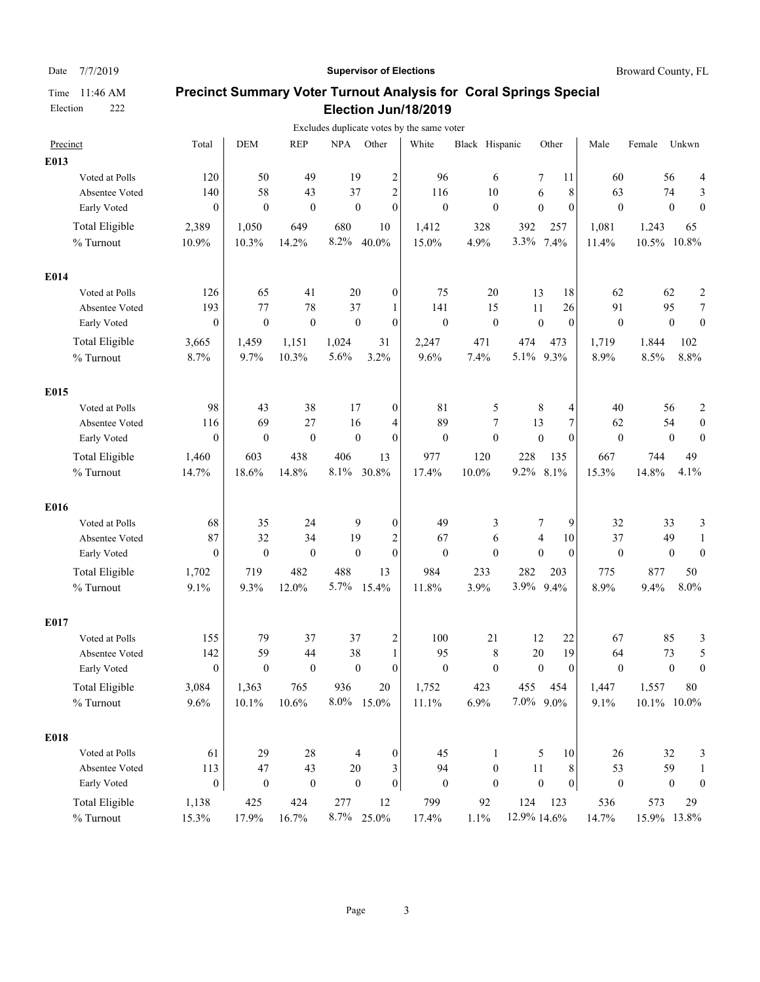### Date 7/7/2019 **Supervisor of Elections Supervisor of Elections** Broward County, FL

|                       |                  |                  |                  |                  |                  | Excludes duplicate votes by the same voter |                  |                  |                  |                  |                |                  |                         |
|-----------------------|------------------|------------------|------------------|------------------|------------------|--------------------------------------------|------------------|------------------|------------------|------------------|----------------|------------------|-------------------------|
| Precinct              | Total            | <b>DEM</b>       | <b>REP</b>       | <b>NPA</b>       | Other            | White                                      | Black Hispanic   |                  | Other            | Male             | Female         | Unkwn            |                         |
| E013                  |                  |                  |                  |                  |                  |                                            |                  |                  |                  |                  |                |                  |                         |
| Voted at Polls        | 120              | 50               | 49               | 19               | 2                | 96                                         | 6                | 7                | 11               | 60               | 56             |                  | 4                       |
| Absentee Voted        | 140              | 58               | 43               | 37               | $\overline{c}$   | 116                                        | 10               | 6                | 8                | 63               | 74             |                  | 3                       |
| Early Voted           | $\mathbf{0}$     | $\theta$         | $\theta$         | $\theta$         | $\mathbf{0}$     | $\mathbf{0}$                               | $\mathbf{0}$     | $\mathbf{0}$     | $\theta$         | $\theta$         |                | $\theta$         | $\mathbf{0}$            |
| <b>Total Eligible</b> | 2,389            | 1,050            | 649              | 680              | 10               | 1,412                                      | 328              | 392              | 257              | 1,081            | 1.243          | 65               |                         |
| % Turnout             | 10.9%            | 10.3%            | 14.2%            | 8.2%             | 40.0%            | 15.0%                                      | 4.9%             | 3.3%             | 7.4%             | 11.4%            | 10.5%          | 10.8%            |                         |
| E014                  |                  |                  |                  |                  |                  |                                            |                  |                  |                  |                  |                |                  |                         |
| Voted at Polls        | 126              | 65               | 41               | 20               | $\boldsymbol{0}$ | 75                                         | 20               | 13               | 18               | 62               | 62             |                  | $\boldsymbol{2}$        |
| Absentee Voted        | 193              | 77               | 78               | 37               | 1                | 141                                        | 15               | 11               | 26               | 91               | 95             |                  | $\tau$                  |
| Early Voted           | $\boldsymbol{0}$ | $\mathbf{0}$     | $\boldsymbol{0}$ | $\mathbf{0}$     | $\mathbf{0}$     | $\boldsymbol{0}$                           | $\boldsymbol{0}$ | $\mathbf{0}$     | $\mathbf{0}$     | $\mathbf{0}$     |                | $\boldsymbol{0}$ | $\boldsymbol{0}$        |
| <b>Total Eligible</b> | 3,665            | 1,459            | 1,151            | 1,024            | 31               | 2,247                                      | 471              | 474              | 473              | 1,719            | 1,844          | 102              |                         |
| % Turnout             | 8.7%             | 9.7%             | 10.3%            | 5.6%             | 3.2%             | 9.6%                                       | 7.4%             | 5.1% 9.3%        |                  | 8.9%             | 8.5%           | 8.8%             |                         |
| E015                  |                  |                  |                  |                  |                  |                                            |                  |                  |                  |                  |                |                  |                         |
| Voted at Polls        | 98               | 43               | 38               | 17               | $\boldsymbol{0}$ | 81                                         | 5                | 8                | 4                | 40               | 56             |                  | $\overline{\mathbf{c}}$ |
| Absentee Voted        | 116              | 69               | 27               | 16               | 4                | 89                                         | 7                | 13               | $\boldsymbol{7}$ | 62               | 54             |                  | $\boldsymbol{0}$        |
| Early Voted           | $\theta$         | $\mathbf{0}$     | $\boldsymbol{0}$ | $\mathbf{0}$     | $\mathbf{0}$     | $\mathbf{0}$                               | $\boldsymbol{0}$ | $\boldsymbol{0}$ | $\theta$         | $\mathbf{0}$     |                | $\boldsymbol{0}$ | $\boldsymbol{0}$        |
| Total Eligible        | 1,460            | 603              | 438              | 406              | 13               | 977                                        | 120              | 228              | 135              | 667              | 744            | 49               |                         |
| % Turnout             | 14.7%            | 18.6%            | 14.8%            | 8.1%             | 30.8%            | 17.4%                                      | 10.0%            | $9.2\%$          | 8.1%             | 15.3%            | 14.8%          | 4.1%             |                         |
| E016                  |                  |                  |                  |                  |                  |                                            |                  |                  |                  |                  |                |                  |                         |
| Voted at Polls        | 68               | 35               | 24               | 9                | $\boldsymbol{0}$ | 49                                         | 3                | 7                | 9                | 32               | 33             |                  | 3                       |
| Absentee Voted        | 87               | 32               | 34               | 19               | $\overline{c}$   | 67                                         | 6                | $\overline{4}$   | 10               | 37               | 49             |                  | $\mathbf{1}$            |
| Early Voted           | $\mathbf{0}$     | $\mathbf{0}$     | $\boldsymbol{0}$ | $\theta$         | $\overline{0}$   | $\mathbf{0}$                               | $\overline{0}$   | $\mathbf{0}$     | $\mathbf{0}$     | $\mathbf{0}$     |                | $\boldsymbol{0}$ | $\boldsymbol{0}$        |
| <b>Total Eligible</b> | 1,702            | 719              | 482              | 488              | 13               | 984                                        | 233              | 282              | 203              | 775              | 877            | 50               |                         |
| % Turnout             | 9.1%             | 9.3%             | 12.0%            | 5.7%             | 15.4%            | 11.8%                                      | 3.9%             | 3.9%             | 9.4%             | 8.9%             | 9.4%           | 8.0%             |                         |
| E017                  |                  |                  |                  |                  |                  |                                            |                  |                  |                  |                  |                |                  |                         |
| Voted at Polls        | 155              | 79               | 37               | 37               | 2                | 100                                        | 21               | 12               | 22               | 67               | 85             |                  | 3                       |
| Absentee Voted        | 142              | 59               | 44               | 38               | 1                | 95                                         | 8                | 20               | 19               | 64               | 73             |                  | 5                       |
| Early Voted           | $\mathbf{0}$     | $\mathbf{0}$     | $\mathbf{0}$     | $\mathbf{0}$     | $\overline{0}$   | $\mathbf{0}$                               | $\mathbf{0}$     | $\mathbf{0}$     | $\theta$         | $\mathbf{0}$     |                | $\boldsymbol{0}$ | $\boldsymbol{0}$        |
| Total Eligible        | 3,084            | 1,363            | 765              | 936              | $20\,$           | 1,752                                      | 423              | 455              | 454              | 1,447            | 1.557          | $80\,$           |                         |
| % Turnout             | 9.6%             | 10.1%            | 10.6%            | $8.0\%$          | 15.0%            | 11.1%                                      | 6.9%             | $7.0\%$ 9.0%     |                  | 9.1%             | $10.1\%$ 10.0% |                  |                         |
| E018                  |                  |                  |                  |                  |                  |                                            |                  |                  |                  |                  |                |                  |                         |
| Voted at Polls        | 61               | 29               | $28\,$           | 4                | $\boldsymbol{0}$ | 45                                         | $\mathbf{1}$     | 5                | 10               | 26               |                | 32               | 3                       |
| Absentee Voted        | 113              | $47\,$           | 43               | 20               | 3                | 94                                         | $\boldsymbol{0}$ | 11               | 8 <sup>1</sup>   | 53               | 59             |                  | $\mathbf{1}$            |
| Early Voted           | $\boldsymbol{0}$ | $\boldsymbol{0}$ | $\boldsymbol{0}$ | $\boldsymbol{0}$ | $\boldsymbol{0}$ | $\boldsymbol{0}$                           | $\boldsymbol{0}$ | $\boldsymbol{0}$ | 0                | $\boldsymbol{0}$ |                | $\boldsymbol{0}$ | $\boldsymbol{0}$        |
| <b>Total Eligible</b> | 1,138            | 425              | 424              | 277              | 12               | 799                                        | 92               | 124              | 123              | 536              | 573            | 29               |                         |
| $\%$ Turnout          | 15.3%            | 17.9%            | 16.7%            |                  | 8.7% 25.0%       | 17.4%                                      | 1.1%             | 12.9% 14.6%      |                  | 14.7%            | 15.9% 13.8%    |                  |                         |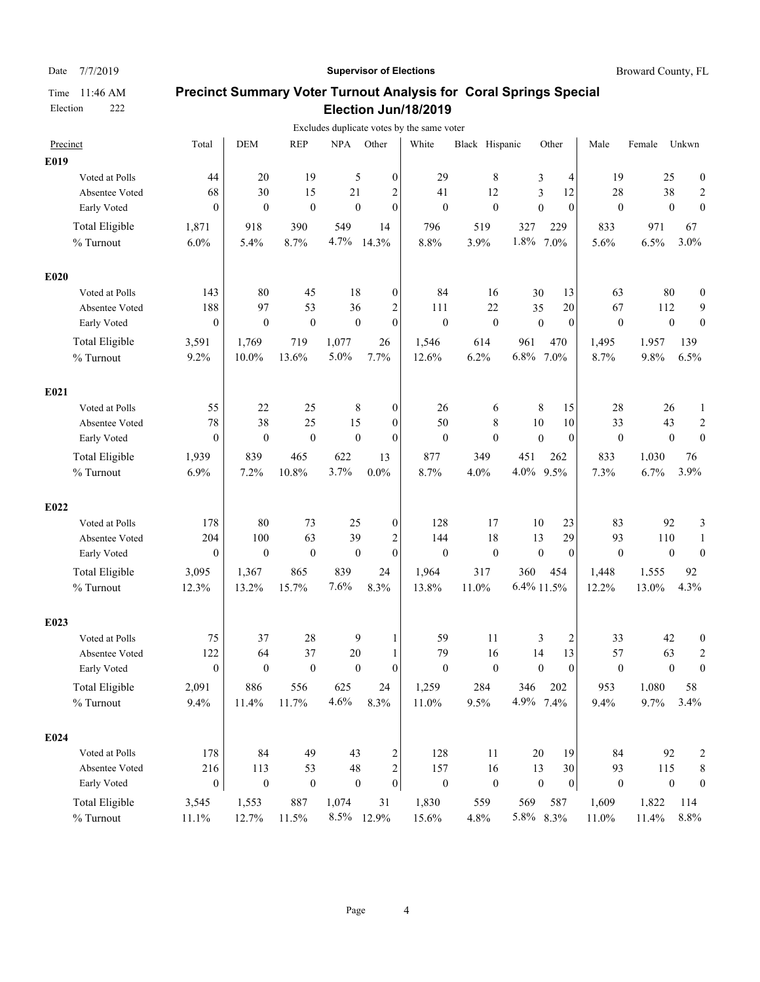### Date 7/7/2019 **Supervisor of Elections Supervisor of Elections** Broward County, FL

|                       |                  |                  |                  |            |                                      | Excludes duplicate votes by the same voter |                  |                  |                 |                  |        |                  |                         |
|-----------------------|------------------|------------------|------------------|------------|--------------------------------------|--------------------------------------------|------------------|------------------|-----------------|------------------|--------|------------------|-------------------------|
| Precinct              | Total            | <b>DEM</b>       | <b>REP</b>       | <b>NPA</b> | Other                                | White                                      | Black Hispanic   |                  | Other           | Male             | Female | Unkwn            |                         |
| E019                  |                  |                  |                  |            |                                      |                                            |                  |                  |                 |                  |        |                  |                         |
| Voted at Polls        | 44               | 20               | 19               |            | 5<br>$\boldsymbol{0}$                | 29                                         | 8                | 3                | 4               | 19               | 25     |                  | $\boldsymbol{0}$        |
| Absentee Voted        | 68               | 30               | 15               | 21         | 2                                    | 41                                         | 12               | 3                | 12              | 28               | 38     |                  | 2                       |
| Early Voted           | $\theta$         | $\theta$         | $\overline{0}$   |            | $\mathbf{0}$<br>$\theta$             | $\theta$                                   | $\mathbf{0}$     | $\mathbf{0}$     | $\theta$        | $\mathbf{0}$     |        | $\mathbf{0}$     | $\mathbf{0}$            |
| <b>Total Eligible</b> | 1,871            | 918              | 390              | 549        | 14                                   | 796                                        | 519              | 327              | 229             | 833              | 971    | 67               |                         |
| % Turnout             | 6.0%             | 5.4%             | 8.7%             | 4.7%       | 14.3%                                | 8.8%                                       | 3.9%             | 1.8%             | 7.0%            | 5.6%             | 6.5%   | 3.0%             |                         |
| E020                  |                  |                  |                  |            |                                      |                                            |                  |                  |                 |                  |        |                  |                         |
| Voted at Polls        | 143              | 80               | 45               | 18         | $\boldsymbol{0}$                     | 84                                         | 16               | 30               | 13              | 63               | 80     |                  | $\boldsymbol{0}$        |
| Absentee Voted        | 188              | 97               | 53               | 36         | $\overline{c}$                       | 111                                        | 22               | 35               | 20              | 67               | 112    |                  | 9                       |
| Early Voted           | $\boldsymbol{0}$ | $\mathbf{0}$     | $\boldsymbol{0}$ |            | $\mathbf{0}$<br>$\boldsymbol{0}$     | $\boldsymbol{0}$                           | $\boldsymbol{0}$ | $\boldsymbol{0}$ | $\mathbf{0}$    | $\boldsymbol{0}$ |        | $\boldsymbol{0}$ | $\boldsymbol{0}$        |
| <b>Total Eligible</b> | 3,591            | 1,769            | 719              | 1,077      | 26                                   | 1,546                                      | 614              | 961              | 470             | 1,495            | 1,957  | 139              |                         |
| % Turnout             | 9.2%             | $10.0\%$         | 13.6%            | 5.0%       | 7.7%                                 | 12.6%                                      | 6.2%             | 6.8% 7.0%        |                 | 8.7%             | 9.8%   | 6.5%             |                         |
| E021                  |                  |                  |                  |            |                                      |                                            |                  |                  |                 |                  |        |                  |                         |
| Voted at Polls        | 55               | 22               | 25               |            | 8<br>$\boldsymbol{0}$                | 26                                         | 6                | 8                | 15              | 28               | 26     |                  | 1                       |
| Absentee Voted        | 78               | 38               | 25               | 15         | $\theta$                             | 50                                         | 8                | 10               | 10              | 33               | 43     |                  | $\overline{c}$          |
| Early Voted           | $\theta$         | $\mathbf{0}$     | $\boldsymbol{0}$ |            | $\mathbf{0}$<br>$\boldsymbol{0}$     | $\mathbf{0}$                               | $\mathbf{0}$     | $\boldsymbol{0}$ | $\mathbf{0}$    | $\boldsymbol{0}$ |        | $\boldsymbol{0}$ | $\overline{0}$          |
| <b>Total Eligible</b> | 1,939            | 839              | 465              | 622        | 13                                   | 877                                        | 349              | 451              | 262             | 833              | 1.030  | 76               |                         |
| % Turnout             | 6.9%             | 7.2%             | 10.8%            | 3.7%       | $0.0\%$                              | 8.7%                                       | 4.0%             | 4.0%             | 9.5%            | 7.3%             | 6.7%   | 3.9%             |                         |
| E022                  |                  |                  |                  |            |                                      |                                            |                  |                  |                 |                  |        |                  |                         |
| Voted at Polls        | 178              | 80               | 73               | 25         | $\boldsymbol{0}$                     | 128                                        | 17               | 10               | 23              | 83               | 92     |                  | 3                       |
| Absentee Voted        | 204              | 100              | 63               | 39         | $\overline{c}$                       | 144                                        | 18               | 13               | 29              | 93               | 110    |                  | 1                       |
| Early Voted           | $\boldsymbol{0}$ | $\boldsymbol{0}$ | $\boldsymbol{0}$ |            | $\mathbf{0}$<br>$\mathbf{0}$         | $\boldsymbol{0}$                           | $\boldsymbol{0}$ | $\boldsymbol{0}$ | $\mathbf{0}$    | $\mathbf{0}$     |        | $\boldsymbol{0}$ | $\boldsymbol{0}$        |
| <b>Total Eligible</b> | 3,095            | 1,367            | 865              | 839        | 24                                   | 1,964                                      | 317              | 360              | 454             | 1,448            | 1.555  | 92               |                         |
| % Turnout             | 12.3%            | 13.2%            | 15.7%            | 7.6%       | 8.3%                                 | 13.8%                                      | 11.0%            | 6.4% 11.5%       |                 | 12.2%            | 13.0%  | 4.3%             |                         |
| E023                  |                  |                  |                  |            |                                      |                                            |                  |                  |                 |                  |        |                  |                         |
| Voted at Polls        | 75               | 37               | 28               |            | 9<br>1                               | 59                                         | 11               | 3                | $\overline{c}$  | 33               | 42     |                  | 0                       |
| Absentee Voted        | 122              | 64               | 37               | 20         | 1                                    | 79                                         | 16               | 14               | 13              | 57               | 63     |                  | $\overline{c}$          |
| Early Voted           | $\mathbf{0}$     | $\mathbf{0}$     | $\boldsymbol{0}$ |            | $\theta$<br>$\mathbf{0}$             | $\mathbf{0}$                               | $\mathbf{0}$     | $\mathbf{0}$     | $\theta$        | $\mathbf{0}$     |        | $\mathbf{0}$     | $\overline{0}$          |
| <b>Total Eligible</b> | 2,091            | 886              | 556              | 625        | 24                                   | 1,259                                      | 284              | 346              | 202             | 953              | 1.080  | 58               |                         |
| % Turnout             | 9.4%             | 11.4%            | 11.7%            | 4.6%       | 8.3%                                 | 11.0%                                      | 9.5%             | 4.9% 7.4%        |                 | 9.4%             | 9.7%   | 3.4%             |                         |
| E024                  |                  |                  |                  |            |                                      |                                            |                  |                  |                 |                  |        |                  |                         |
| Voted at Polls        | 178              | 84               | 49               | 43         | $\overline{\mathbf{c}}$              | 128                                        | 11               | 20               | 19              | 84               | 92     |                  | $\overline{\mathbf{c}}$ |
| Absentee Voted        | 216              | 113              | 53               | 48         | $\sqrt{2}$                           | 157                                        | 16               | 13               | 30              | 93               | 115    |                  | 8                       |
| Early Voted           | $\boldsymbol{0}$ | $\boldsymbol{0}$ | $\boldsymbol{0}$ |            | $\boldsymbol{0}$<br>$\boldsymbol{0}$ | $\boldsymbol{0}$                           | $\boldsymbol{0}$ | $\boldsymbol{0}$ | $\vert 0 \vert$ | $\boldsymbol{0}$ |        | $\boldsymbol{0}$ | $\boldsymbol{0}$        |
| Total Eligible        | 3,545            | 1,553            | 887              | 1,074      | 31                                   | 1,830                                      | 559              | 569              | 587             | 1,609            | 1.822  | 114              |                         |
| $\%$ Turnout          | 11.1%            | 12.7%            | 11.5%            |            | 8.5% 12.9%                           | 15.6%                                      | 4.8%             | 5.8% 8.3%        |                 | 11.0%            | 11.4%  | $8.8\%$          |                         |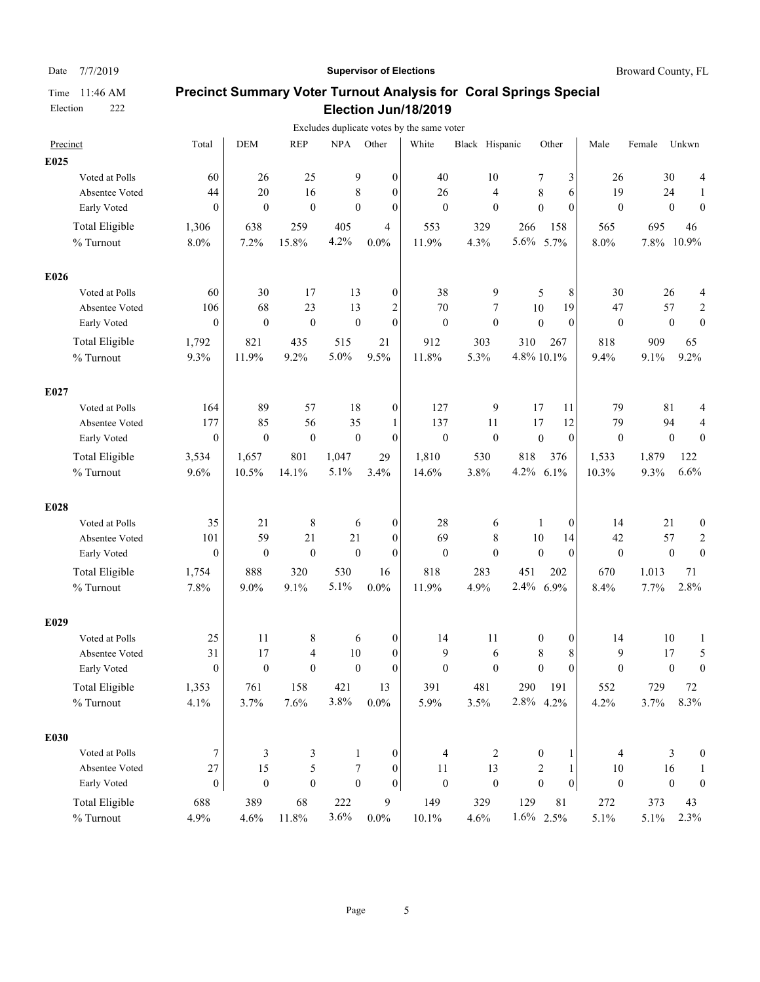### Date 7/7/2019 **Supervisor of Elections Supervisor of Elections** Broward County, FL

|                       |                  |                  |                  |                  |                         | Excludes duplicate votes by the same voter |                  |                  |                  |                  |        |                  |                  |
|-----------------------|------------------|------------------|------------------|------------------|-------------------------|--------------------------------------------|------------------|------------------|------------------|------------------|--------|------------------|------------------|
| Precinct              | Total            | <b>DEM</b>       | <b>REP</b>       | <b>NPA</b>       | Other                   | White                                      | Black Hispanic   |                  | Other            | Male             | Female | Unkwn            |                  |
| E025                  |                  |                  |                  |                  |                         |                                            |                  |                  |                  |                  |        |                  |                  |
| Voted at Polls        | 60               | 26               | 25               | 9                | $\boldsymbol{0}$        | 40                                         | 10               | 7                | 3                | 26               |        | 30               | 4                |
| Absentee Voted        | 44               | 20               | 16               | 8                | $\boldsymbol{0}$        | 26                                         | 4                | 8                | 6                | 19               |        | 24               | 1                |
| Early Voted           | $\theta$         | $\theta$         | $\theta$         | $\Omega$         | $\mathbf{0}$            | $\mathbf{0}$                               | $\mathbf{0}$     | $\mathbf{0}$     | $\theta$         | $\mathbf{0}$     |        | $\mathbf{0}$     | $\theta$         |
| <b>Total Eligible</b> | 1,306            | 638              | 259              | 405              | $\overline{4}$          | 553                                        | 329              | 266              | 158              | 565              | 695    |                  | 46               |
| % Turnout             | $8.0\%$          | 7.2%             | 15.8%            | 4.2%             | $0.0\%$                 | 11.9%                                      | 4.3%             | $5.6\%$          | 5.7%             | 8.0%             | 7.8%   | 10.9%            |                  |
| E026                  |                  |                  |                  |                  |                         |                                            |                  |                  |                  |                  |        |                  |                  |
| Voted at Polls        | 60               | 30               | 17               | 13               | $\boldsymbol{0}$        | 38                                         | 9                | 5                | 8                | 30               |        | 26               | 4                |
| Absentee Voted        | 106              | 68               | 23               | 13               | $\overline{\mathbf{c}}$ | 70                                         | 7                | 10               | 19               | 47               |        | 57               | $\overline{c}$   |
| Early Voted           | $\boldsymbol{0}$ | $\mathbf{0}$     | $\boldsymbol{0}$ | $\boldsymbol{0}$ | $\mathbf{0}$            | $\mathbf{0}$                               | $\mathbf{0}$     | $\theta$         | $\mathbf{0}$     | $\theta$         |        | $\boldsymbol{0}$ | $\mathbf{0}$     |
| <b>Total Eligible</b> | 1,792            | 821              | 435              | 515              | 21                      | 912                                        | 303              | 310              | 267              | 818              | 909    |                  | 65               |
| % Turnout             | 9.3%             | 11.9%            | 9.2%             | 5.0%             | 9.5%                    | 11.8%                                      | 5.3%             | 4.8% 10.1%       |                  | 9.4%             | 9.1%   |                  | 9.2%             |
| E027                  |                  |                  |                  |                  |                         |                                            |                  |                  |                  |                  |        |                  |                  |
| Voted at Polls        | 164              | 89               | 57               | 18               | $\boldsymbol{0}$        | 127                                        | 9                | 17               | 11               | 79               |        | 81               | 4                |
| Absentee Voted        | 177              | 85               | 56               | 35               | 1                       | 137                                        | 11               | 17               | 12               | 79               |        | 94               | 4                |
| Early Voted           | $\boldsymbol{0}$ | $\boldsymbol{0}$ | $\boldsymbol{0}$ | $\boldsymbol{0}$ | $\boldsymbol{0}$        | $\boldsymbol{0}$                           | $\mathbf{0}$     | $\boldsymbol{0}$ | $\mathbf{0}$     | $\boldsymbol{0}$ |        | $\boldsymbol{0}$ | $\overline{0}$   |
| <b>Total Eligible</b> | 3,534            | 1,657            | 801              | 1,047            | 29                      | 1,810                                      | 530              | 818              | 376              | 1,533            | 1.879  |                  | 122              |
| % Turnout             | 9.6%             | 10.5%            | 14.1%            | 5.1%             | 3.4%                    | 14.6%                                      | 3.8%             | 4.2%             | 6.1%             | 10.3%            | 9.3%   |                  | 6.6%             |
| E028                  |                  |                  |                  |                  |                         |                                            |                  |                  |                  |                  |        |                  |                  |
| Voted at Polls        | 35               | 21               | 8                | 6                | $\boldsymbol{0}$        | 28                                         | 6                | 1                | $\mathbf{0}$     | 14               |        | 21               | $\boldsymbol{0}$ |
| Absentee Voted        | 101              | 59               | 21               | 21               | $\theta$                | 69                                         | 8                | 10               | 14               | 42               |        | 57               | $\overline{c}$   |
| Early Voted           | $\boldsymbol{0}$ | $\mathbf{0}$     | $\boldsymbol{0}$ | $\mathbf{0}$     | $\mathbf{0}$            | $\mathbf{0}$                               | $\mathbf{0}$     | $\mathbf{0}$     | $\mathbf{0}$     | $\mathbf{0}$     |        | $\boldsymbol{0}$ | $\mathbf{0}$     |
| <b>Total Eligible</b> | 1,754            | 888              | 320              | 530              | 16                      | 818                                        | 283              | 451              | 202              | 670              | 1.013  |                  | 71               |
| % Turnout             | 7.8%             | 9.0%             | 9.1%             | 5.1%             | $0.0\%$                 | 11.9%                                      | 4.9%             | 2.4%             | 6.9%             | 8.4%             | 7.7%   |                  | 2.8%             |
| E029                  |                  |                  |                  |                  |                         |                                            |                  |                  |                  |                  |        |                  |                  |
| Voted at Polls        | 25               | 11               | 8                | 6                | $\boldsymbol{0}$        | 14                                         | 11               | 0                | $\boldsymbol{0}$ | 14               |        | 10               | 1                |
| Absentee Voted        | 31               | 17               | 4                | 10               | $\boldsymbol{0}$        | 9                                          | 6                | $\,$ 8 $\,$      | 8                | 9                |        | 17               | 5                |
| Early Voted           | $\theta$         | $\mathbf{0}$     | $\mathbf{0}$     | $\mathbf{0}$     | $\theta$                | $\mathbf{0}$                               | $\mathbf{0}$     | $\mathbf{0}$     | $\theta$         | $\mathbf{0}$     |        | $\boldsymbol{0}$ | $\mathbf{0}$     |
| <b>Total Eligible</b> | 1,353            | 761              | 158              | 421              | 13                      | 391                                        | 481              | 290              | 191              | 552              | 729    |                  | $72\,$           |
| % Turnout             | 4.1%             | 3.7%             | 7.6%             | 3.8%             | $0.0\%$                 | 5.9%                                       | 3.5%             | 2.8% 4.2%        |                  | 4.2%             | 3.7%   |                  | 8.3%             |
| E030                  |                  |                  |                  |                  |                         |                                            |                  |                  |                  |                  |        |                  |                  |
| Voted at Polls        | 7                | 3                | 3                | $\mathbf{1}$     | $\boldsymbol{0}$        | $\overline{4}$                             | $\sqrt{2}$       | $\boldsymbol{0}$ | 1                | 4                |        | 3                | $\boldsymbol{0}$ |
| Absentee Voted        | $27\,$           | 15               | 5                | 7                | $\boldsymbol{0}$        | 11                                         | 13               | 2                | 1                | $10\,$           |        | 16               | 1                |
| Early Voted           | $\boldsymbol{0}$ | $\boldsymbol{0}$ | $\boldsymbol{0}$ | $\boldsymbol{0}$ | $\mathbf{0}$            | $\boldsymbol{0}$                           | $\boldsymbol{0}$ | $\mathbf{0}$     | $\boldsymbol{0}$ | $\boldsymbol{0}$ |        | $\boldsymbol{0}$ | $\boldsymbol{0}$ |
| <b>Total Eligible</b> | 688              | 389              | 68               | 222              | 9                       | 149                                        | 329              | 129              | 81               | 272              | 373    |                  | 43               |
| $\%$ Turnout          | 4.9%             | 4.6%             | 11.8%            | 3.6%             | $0.0\%$                 | 10.1%                                      | 4.6%             | 1.6% 2.5%        |                  | 5.1%             | 5.1%   |                  | 2.3%             |